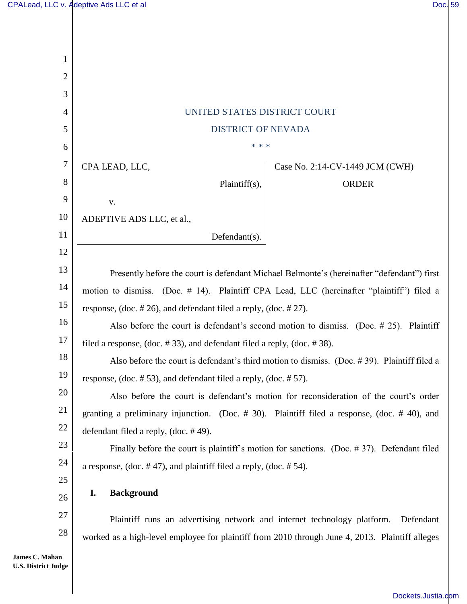| 1          |                                                                                                 |  |  |  |
|------------|-------------------------------------------------------------------------------------------------|--|--|--|
| 2          |                                                                                                 |  |  |  |
| 3          |                                                                                                 |  |  |  |
| 4          | UNITED STATES DISTRICT COURT                                                                    |  |  |  |
| 5          | <b>DISTRICT OF NEVADA</b>                                                                       |  |  |  |
| 6          | * * *                                                                                           |  |  |  |
| 7          | CPA LEAD, LLC,<br>Case No. 2:14-CV-1449 JCM (CWH)                                               |  |  |  |
| 8          | Plaintiff(s),<br><b>ORDER</b>                                                                   |  |  |  |
| 9          | V.                                                                                              |  |  |  |
| 10         | ADEPTIVE ADS LLC, et al.,                                                                       |  |  |  |
| 11         | Defendant(s).                                                                                   |  |  |  |
| 12         |                                                                                                 |  |  |  |
| 13         | Presently before the court is defendant Michael Belmonte's (hereinafter "defendant") first      |  |  |  |
| 14         | motion to dismiss. (Doc. # 14). Plaintiff CPA Lead, LLC (hereinafter "plaintiff") filed a       |  |  |  |
| 15         | response, $doc. #26$ , and defendant filed a reply, $doc. #27$ .                                |  |  |  |
| 16         | Also before the court is defendant's second motion to dismiss. (Doc. $# 25$ ). Plaintiff        |  |  |  |
| 17         | filed a response, (doc. $\#$ 33), and defendant filed a reply, (doc. $\#$ 38).                  |  |  |  |
| 18         | Also before the court is defendant's third motion to dismiss. (Doc. #39). Plaintiff filed a     |  |  |  |
| 19         | response, (doc. $# 53$ ), and defendant filed a reply, (doc. $# 57$ ).                          |  |  |  |
| 20         | Also before the court is defendant's motion for reconsideration of the court's order            |  |  |  |
| 21         | granting a preliminary injunction. (Doc. # 30). Plaintiff filed a response, (doc. # 40), and    |  |  |  |
| 22         | defendant filed a reply, (doc. $#49$ ).                                                         |  |  |  |
| 23         | Finally before the court is plaintiff's motion for sanctions. (Doc. $# 37$ ). Defendant filed   |  |  |  |
| 24         | a response, $(doc. # 47)$ , and plaintiff filed a reply, $(doc. # 54)$ .                        |  |  |  |
| 25         |                                                                                                 |  |  |  |
| 26         | <b>Background</b><br>I.                                                                         |  |  |  |
| 27         | Plaintiff runs an advertising network and internet technology platform.<br>Defendant            |  |  |  |
| 28         | worked as a high-level employee for plaintiff from 2010 through June 4, 2013. Plaintiff alleges |  |  |  |
| an<br>օթհա |                                                                                                 |  |  |  |

James C. Maha **U.S. District Judge**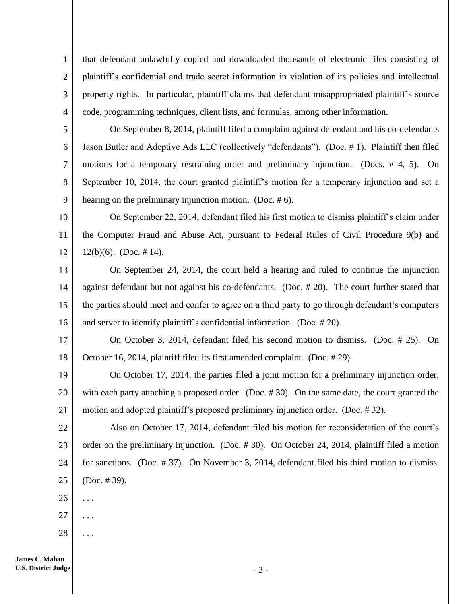that defendant unlawfully copied and downloaded thousands of electronic files consisting of plaintiff's confidential and trade secret information in violation of its policies and intellectual property rights. In particular, plaintiff claims that defendant misappropriated plaintiff's source code, programming techniques, client lists, and formulas, among other information.

5 6 7 8 9 On September 8, 2014, plaintiff filed a complaint against defendant and his co-defendants Jason Butler and Adeptive Ads LLC (collectively "defendants"). (Doc. # 1). Plaintiff then filed motions for a temporary restraining order and preliminary injunction. (Docs. # 4, 5). On September 10, 2014, the court granted plaintiff's motion for a temporary injunction and set a hearing on the preliminary injunction motion. (Doc. #6).

10 11 12 On September 22, 2014, defendant filed his first motion to dismiss plaintiff's claim under the Computer Fraud and Abuse Act, pursuant to Federal Rules of Civil Procedure 9(b) and  $12(b)(6)$ . (Doc. #14).

13 14 15 16 On September 24, 2014, the court held a hearing and ruled to continue the injunction against defendant but not against his co-defendants. (Doc. # 20). The court further stated that the parties should meet and confer to agree on a third party to go through defendant's computers and server to identify plaintiff's confidential information. (Doc. # 20).

17 18 On October 3, 2014, defendant filed his second motion to dismiss. (Doc. # 25). On October 16, 2014, plaintiff filed its first amended complaint. (Doc. # 29).

19 20 21 On October 17, 2014, the parties filed a joint motion for a preliminary injunction order, with each party attaching a proposed order. (Doc. #30). On the same date, the court granted the motion and adopted plaintiff's proposed preliminary injunction order. (Doc. # 32).

22 23 24 25 Also on October 17, 2014, defendant filed his motion for reconsideration of the court's order on the preliminary injunction. (Doc. # 30). On October 24, 2014, plaintiff filed a motion for sanctions. (Doc. # 37). On November 3, 2014, defendant filed his third motion to dismiss. (Doc. # 39).

26 . . .

1

2

3

4

- 27 . . .
- 28 . . .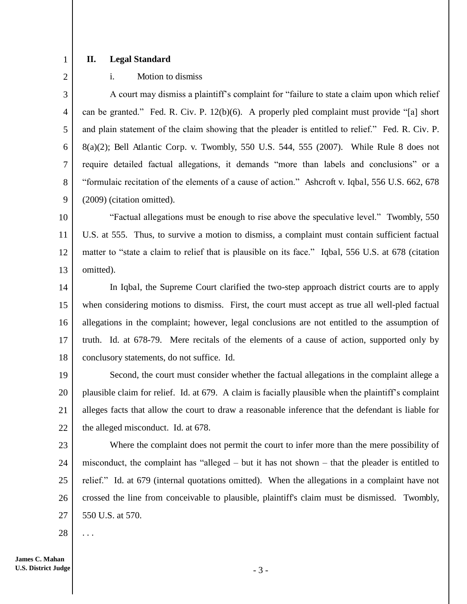1 2

## **II. Legal Standard**

i. Motion to dismiss

3 4 5 6 7 8 9 A court may dismiss a plaintiff's complaint for "failure to state a claim upon which relief can be granted." Fed. R. Civ. P. 12(b)(6). A properly pled complaint must provide "[a] short and plain statement of the claim showing that the pleader is entitled to relief." Fed. R. Civ. P. 8(a)(2); Bell Atlantic Corp. v. Twombly, 550 U.S. 544, 555 (2007). While Rule 8 does not require detailed factual allegations, it demands "more than labels and conclusions" or a "formulaic recitation of the elements of a cause of action." Ashcroft v. Iqbal, 556 U.S. 662, 678 (2009) (citation omitted).

10 11 12 13 "Factual allegations must be enough to rise above the speculative level." Twombly, 550 U.S. at 555. Thus, to survive a motion to dismiss, a complaint must contain sufficient factual matter to "state a claim to relief that is plausible on its face." Iqbal, 556 U.S. at 678 (citation omitted).

14 15 16 17 18 In Iqbal, the Supreme Court clarified the two-step approach district courts are to apply when considering motions to dismiss. First, the court must accept as true all well-pled factual allegations in the complaint; however, legal conclusions are not entitled to the assumption of truth. Id. at 678-79. Mere recitals of the elements of a cause of action, supported only by conclusory statements, do not suffice. Id.

19 20 21 22 Second, the court must consider whether the factual allegations in the complaint allege a plausible claim for relief. Id. at 679. A claim is facially plausible when the plaintiff's complaint alleges facts that allow the court to draw a reasonable inference that the defendant is liable for the alleged misconduct. Id. at 678.

23 24 25 26 27 Where the complaint does not permit the court to infer more than the mere possibility of misconduct, the complaint has "alleged – but it has not shown – that the pleader is entitled to relief." Id. at 679 (internal quotations omitted). When the allegations in a complaint have not crossed the line from conceivable to plausible, plaintiff's claim must be dismissed. Twombly, 550 U.S. at 570.

28 . . .

- 3 -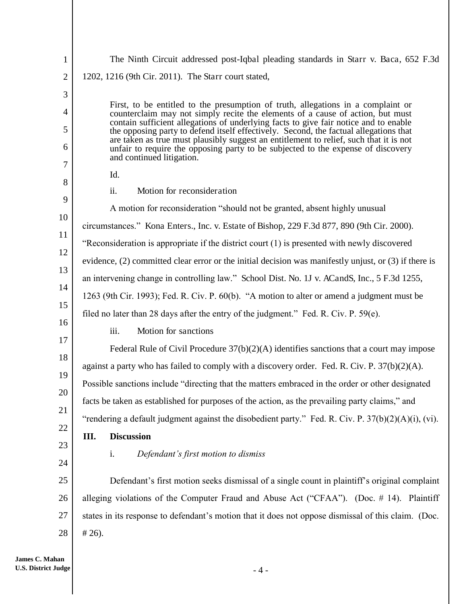| $\mathbf{1}$   | The Ninth Circuit addressed post-Iqbal pleading standards in Starr v. Baca, 652 F.3d                                                                                          |
|----------------|-------------------------------------------------------------------------------------------------------------------------------------------------------------------------------|
| $\overline{2}$ | 1202, 1216 (9th Cir. 2011). The Starr court stated,                                                                                                                           |
| 3              |                                                                                                                                                                               |
| 4              | First, to be entitled to the presumption of truth, allegations in a complaint or<br>counterclaim may not simply recite the elements of a cause of action, but must            |
| 5              | contain sufficient allegations of underlying facts to give fair notice and to enable<br>the opposing party to defend itself effectively. Second, the factual allegations that |
| 6              | are taken as true must plausibly suggest an entitlement to relief, such that it is not<br>unfair to require the opposing party to be subjected to the expense of discovery    |
| 7              | and continued litigation.                                                                                                                                                     |
| 8              | Id.                                                                                                                                                                           |
| 9              | ii.<br>Motion for reconsideration                                                                                                                                             |
|                | A motion for reconsideration "should not be granted, absent highly unusual                                                                                                    |
| 10             | circumstances." Kona Enters., Inc. v. Estate of Bishop, 229 F.3d 877, 890 (9th Cir. 2000).                                                                                    |
| 11<br>12       | "Reconsideration is appropriate if the district court (1) is presented with newly discovered                                                                                  |
| 13             | evidence, $(2)$ committed clear error or the initial decision was manifestly unjust, or $(3)$ if there is                                                                     |
| 14             | an intervening change in controlling law." School Dist. No. 1J v. ACandS, Inc., 5 F.3d 1255,                                                                                  |
| 15             | 1263 (9th Cir. 1993); Fed. R. Civ. P. 60(b). "A motion to alter or amend a judgment must be                                                                                   |
| 16             | filed no later than 28 days after the entry of the judgment." Fed. R. Civ. P. $59(e)$ .                                                                                       |
| 17             | Motion for sanctions<br>iii.                                                                                                                                                  |
| 18             | Federal Rule of Civil Procedure $37(b)(2)(A)$ identifies sanctions that a court may impose                                                                                    |
| 19             | against a party who has failed to comply with a discovery order. Fed. R. Civ. P. $37(b)(2)(A)$ .                                                                              |
| 20             | Possible sanctions include "directing that the matters embraced in the order or other designated                                                                              |
|                | facts be taken as established for purposes of the action, as the prevailing party claims," and                                                                                |
| 21             | "rendering a default judgment against the disobedient party." Fed. R. Civ. P. 37(b)(2)(A)(i), (vi).                                                                           |
| 22             | Ш.<br><b>Discussion</b>                                                                                                                                                       |
| 23             | Defendant's first motion to dismiss<br>i.                                                                                                                                     |
| 24             |                                                                                                                                                                               |
| 25             | Defendant's first motion seeks dismissal of a single count in plaintiff's original complaint                                                                                  |
| 26             | alleging violations of the Computer Fraud and Abuse Act ("CFAA"). (Doc. # 14). Plaintiff                                                                                      |
| 27             | states in its response to defendant's motion that it does not oppose dismissal of this claim. (Doc.                                                                           |
| 28             | $#26$ ).                                                                                                                                                                      |
|                |                                                                                                                                                                               |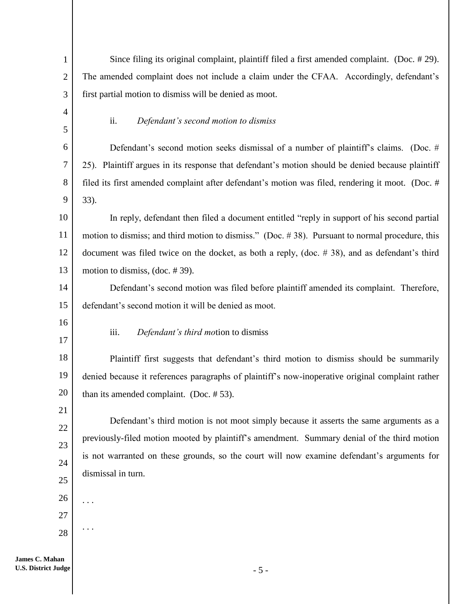| $\mathbf{1}$        | Since filing its original complaint, plaintiff filed a first amended complaint. (Doc. #29).         |  |  |  |
|---------------------|-----------------------------------------------------------------------------------------------------|--|--|--|
| $\overline{2}$      | The amended complaint does not include a claim under the CFAA. Accordingly, defendant's             |  |  |  |
| 3                   | first partial motion to dismiss will be denied as moot.                                             |  |  |  |
| $\overline{4}$<br>5 | Defendant's second motion to dismiss<br>ii.                                                         |  |  |  |
| 6                   | Defendant's second motion seeks dismissal of a number of plaintiff's claims. (Doc. #                |  |  |  |
| 7                   | 25). Plaintiff argues in its response that defendant's motion should be denied because plaintiff    |  |  |  |
| 8                   | filed its first amended complaint after defendant's motion was filed, rendering it moot. (Doc. #    |  |  |  |
| 9                   | 33).                                                                                                |  |  |  |
| 10                  | In reply, defendant then filed a document entitled "reply in support of his second partial          |  |  |  |
| 11                  | motion to dismiss; and third motion to dismiss." (Doc. $\#$ 38). Pursuant to normal procedure, this |  |  |  |
| 12                  | document was filed twice on the docket, as both a reply, (doc. $\#$ 38), and as defendant's third   |  |  |  |
| 13                  | motion to dismiss, (doc. $#39$ ).                                                                   |  |  |  |
| 14                  | Defendant's second motion was filed before plaintiff amended its complaint. Therefore,              |  |  |  |
| 15                  | defendant's second motion it will be denied as moot.                                                |  |  |  |
| 16<br>17            | Defendant's third motion to dismiss<br>iii.                                                         |  |  |  |
| 18                  | Plaintiff first suggests that defendant's third motion to dismiss should be summarily               |  |  |  |
| 19                  | denied because it references paragraphs of plaintiff's now-inoperative original complaint rather    |  |  |  |
| $20\,$              | than its amended complaint. (Doc. $# 53$ ).                                                         |  |  |  |
| 21                  | Defendant's third motion is not moot simply because it asserts the same arguments as a              |  |  |  |
| 22                  | previously-filed motion mooted by plaintiff's amendment. Summary denial of the third motion         |  |  |  |
| 23                  | is not warranted on these grounds, so the court will now examine defendant's arguments for          |  |  |  |
| 24                  | dismissal in turn.                                                                                  |  |  |  |
| 25                  |                                                                                                     |  |  |  |
| 26                  |                                                                                                     |  |  |  |
| 27                  |                                                                                                     |  |  |  |
| 28                  |                                                                                                     |  |  |  |
| i9.n                |                                                                                                     |  |  |  |

**James C. Mahan U.S. District Judge**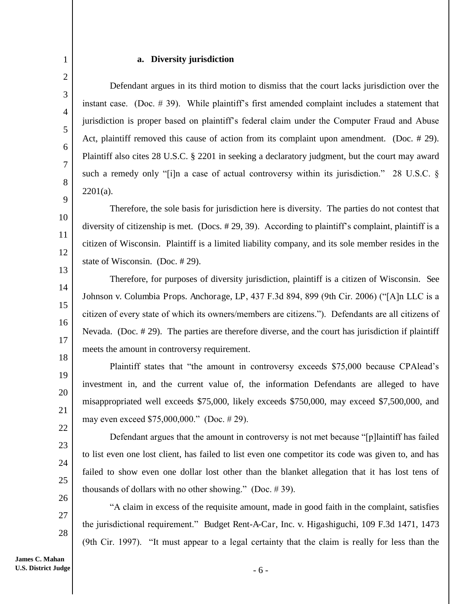#### **a. Diversity jurisdiction**

1

2

3

4

5

6

7

8

9

10

11

12

13

14

15

16

17

18

19

20

21

22

23

24

25

26

27

28

 Defendant argues in its third motion to dismiss that the court lacks jurisdiction over the instant case. (Doc. # 39). While plaintiff's first amended complaint includes a statement that jurisdiction is proper based on plaintiff's federal claim under the Computer Fraud and Abuse Act, plaintiff removed this cause of action from its complaint upon amendment. (Doc. # 29). Plaintiff also cites 28 U.S.C. § 2201 in seeking a declaratory judgment, but the court may award such a remedy only "[i]n a case of actual controversy within its jurisdiction." 28 U.S.C. §  $2201(a)$ .

 Therefore, the sole basis for jurisdiction here is diversity. The parties do not contest that diversity of citizenship is met. (Docs. # 29, 39). According to plaintiff's complaint, plaintiff is a citizen of Wisconsin. Plaintiff is a limited liability company, and its sole member resides in the state of Wisconsin. (Doc. # 29).

 Therefore, for purposes of diversity jurisdiction, plaintiff is a citizen of Wisconsin. See Johnson v. Columbia Props. Anchorage, LP, 437 F.3d 894, 899 (9th Cir. 2006) ("[A]n LLC is a citizen of every state of which its owners/members are citizens."). Defendants are all citizens of Nevada. (Doc. # 29). The parties are therefore diverse, and the court has jurisdiction if plaintiff meets the amount in controversy requirement.

Plaintiff states that "the amount in controversy exceeds \$75,000 because CPAlead's investment in, and the current value of, the information Defendants are alleged to have misappropriated well exceeds \$75,000, likely exceeds \$750,000, may exceed \$7,500,000, and may even exceed \$75,000,000." (Doc. # 29).

Defendant argues that the amount in controversy is not met because "[p]laintiff has failed to list even one lost client, has failed to list even one competitor its code was given to, and has failed to show even one dollar lost other than the blanket allegation that it has lost tens of thousands of dollars with no other showing." (Doc. # 39).

"A claim in excess of the requisite amount, made in good faith in the complaint, satisfies the jurisdictional requirement." Budget Rent-A-Car, Inc. v. Higashiguchi, 109 F.3d 1471, 1473 (9th Cir. 1997). "It must appear to a legal certainty that the claim is really for less than the

**James C. Mahan U.S. District Judge**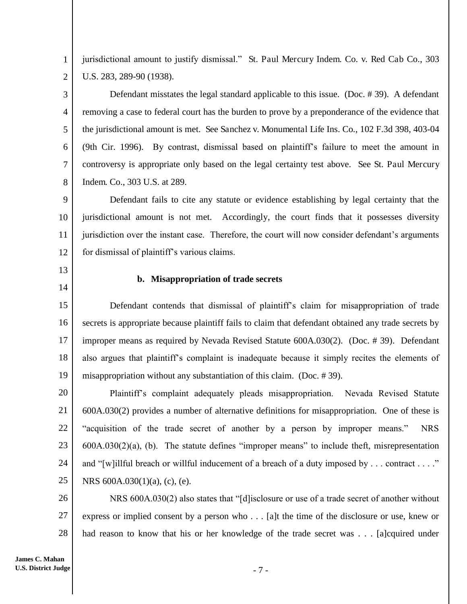jurisdictional amount to justify dismissal." St. Paul Mercury Indem. Co. v. Red Cab Co., 303 U.S. 283, 289-90 (1938).

3 4 5 6 7 Defendant misstates the legal standard applicable to this issue. (Doc. # 39). A defendant removing a case to federal court has the burden to prove by a preponderance of the evidence that the jurisdictional amount is met. See Sanchez v. Monumental Life Ins. Co., 102 F.3d 398, 403-04 (9th Cir. 1996). By contrast, dismissal based on plaintiff's failure to meet the amount in controversy is appropriate only based on the legal certainty test above. See St. Paul Mercury Indem. Co., 303 U.S. at 289.

9 10 11 12 Defendant fails to cite any statute or evidence establishing by legal certainty that the jurisdictional amount is not met. Accordingly, the court finds that it possesses diversity jurisdiction over the instant case. Therefore, the court will now consider defendant's arguments for dismissal of plaintiff's various claims.

13

8

1

2

14

#### **b. Misappropriation of trade secrets**

15 16 17 18 19 Defendant contends that dismissal of plaintiff's claim for misappropriation of trade secrets is appropriate because plaintiff fails to claim that defendant obtained any trade secrets by improper means as required by Nevada Revised Statute 600A.030(2). (Doc. # 39). Defendant also argues that plaintiff's complaint is inadequate because it simply recites the elements of misappropriation without any substantiation of this claim. (Doc. # 39).

20 21 22 23 24 25 Plaintiff's complaint adequately pleads misappropriation. Nevada Revised Statute 600A.030(2) provides a number of alternative definitions for misappropriation. One of these is "acquisition of the trade secret of another by a person by improper means." NRS 600A.030(2)(a), (b). The statute defines "improper means" to include theft, misrepresentation and "[w]illful breach or willful inducement of a breach of a duty imposed by . . . contract . . . ." NRS 600A.030(1)(a), (c), (e).

26 27 28 NRS 600A.030(2) also states that "[d]isclosure or use of a trade secret of another without express or implied consent by a person who . . . [a]t the time of the disclosure or use, knew or had reason to know that his or her knowledge of the trade secret was . . . [a]cquired under

- 7 -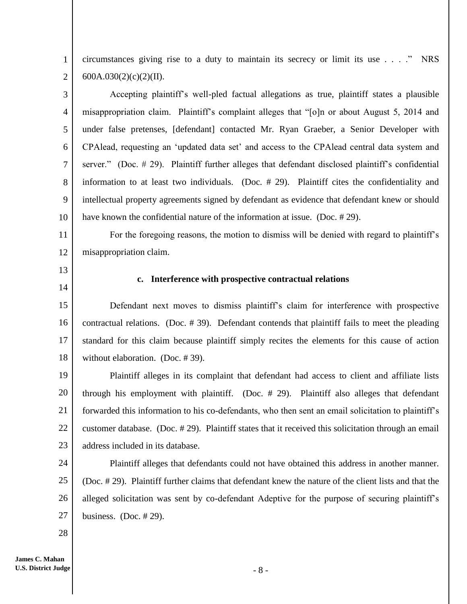1 2 circumstances giving rise to a duty to maintain its secrecy or limit its use . . . ." NRS 600A.030(2)(c)(2)(II).

3 4 5 6 7 8 9 10 Accepting plaintiff's well-pled factual allegations as true, plaintiff states a plausible misappropriation claim. Plaintiff's complaint alleges that "[o]n or about August 5, 2014 and under false pretenses, [defendant] contacted Mr. Ryan Graeber, a Senior Developer with CPAlead, requesting an 'updated data set' and access to the CPAlead central data system and server." (Doc. # 29). Plaintiff further alleges that defendant disclosed plaintiff's confidential information to at least two individuals. (Doc. # 29). Plaintiff cites the confidentiality and intellectual property agreements signed by defendant as evidence that defendant knew or should have known the confidential nature of the information at issue. (Doc. #29).

For the foregoing reasons, the motion to dismiss will be denied with regard to plaintiff's misappropriation claim.

13

11

12

14

## **c. Interference with prospective contractual relations**

15 16 17 18 Defendant next moves to dismiss plaintiff's claim for interference with prospective contractual relations. (Doc. # 39). Defendant contends that plaintiff fails to meet the pleading standard for this claim because plaintiff simply recites the elements for this cause of action without elaboration. (Doc. # 39).

19 20 21 22 23 Plaintiff alleges in its complaint that defendant had access to client and affiliate lists through his employment with plaintiff. (Doc. # 29). Plaintiff also alleges that defendant forwarded this information to his co-defendants, who then sent an email solicitation to plaintiff's customer database. (Doc. # 29). Plaintiff states that it received this solicitation through an email address included in its database.

24 25 26 27 Plaintiff alleges that defendants could not have obtained this address in another manner. (Doc. # 29). Plaintiff further claims that defendant knew the nature of the client lists and that the alleged solicitation was sent by co-defendant Adeptive for the purpose of securing plaintiff's business. (Doc.  $#29$ ).

28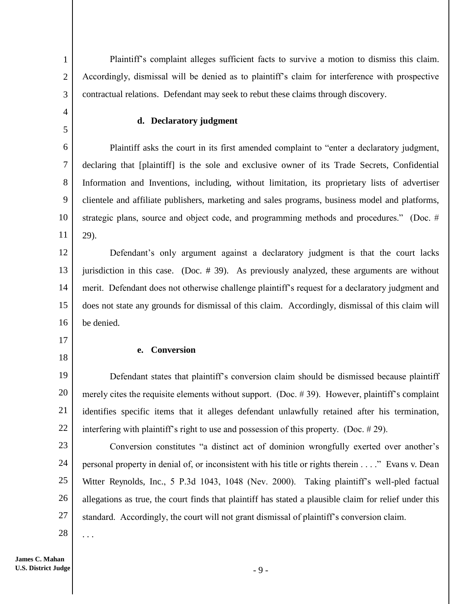Plaintiff's complaint alleges sufficient facts to survive a motion to dismiss this claim. Accordingly, dismissal will be denied as to plaintiff's claim for interference with prospective contractual relations. Defendant may seek to rebut these claims through discovery.

#### **d. Declaratory judgment**

6 7 8 9 10 11 Plaintiff asks the court in its first amended complaint to "enter a declaratory judgment, declaring that [plaintiff] is the sole and exclusive owner of its Trade Secrets, Confidential Information and Inventions, including, without limitation, its proprietary lists of advertiser clientele and affiliate publishers, marketing and sales programs, business model and platforms, strategic plans, source and object code, and programming methods and procedures." (Doc. # 29).

12 13 14 15 16 Defendant's only argument against a declaratory judgment is that the court lacks jurisdiction in this case. (Doc. # 39). As previously analyzed, these arguments are without merit. Defendant does not otherwise challenge plaintiff's request for a declaratory judgment and does not state any grounds for dismissal of this claim. Accordingly, dismissal of this claim will be denied.

17

18

1

2

3

4

5

#### **e. Conversion**

19 20 21 22 Defendant states that plaintiff's conversion claim should be dismissed because plaintiff merely cites the requisite elements without support. (Doc. # 39). However, plaintiff's complaint identifies specific items that it alleges defendant unlawfully retained after his termination, interfering with plaintiff's right to use and possession of this property. (Doc. # 29).

23 24 25 26 27 Conversion constitutes "a distinct act of dominion wrongfully exerted over another's personal property in denial of, or inconsistent with his title or rights therein . . . ." Evans v. Dean Witter Reynolds, Inc., 5 P.3d 1043, 1048 (Nev. 2000). Taking plaintiff's well-pled factual allegations as true, the court finds that plaintiff has stated a plausible claim for relief under this standard. Accordingly, the court will not grant dismissal of plaintiff's conversion claim.

28 . . .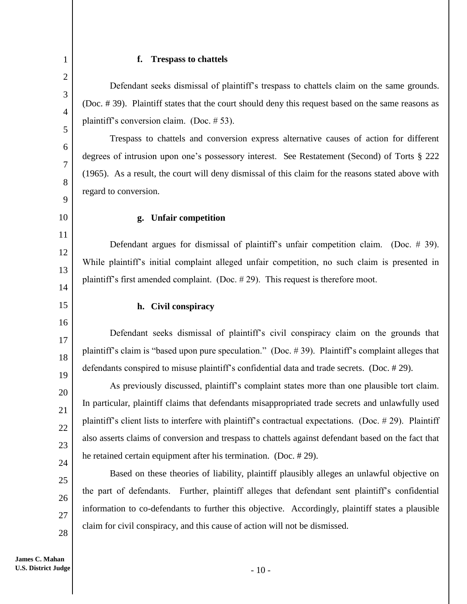#### **f. Trespass to chattels**

1

2

3

4

5

6

7

8

9

10

11

12

13

14

15

16

17

18

19

20

21

22

23

24

25

26

27

28

Defendant seeks dismissal of plaintiff's trespass to chattels claim on the same grounds. (Doc. # 39). Plaintiff states that the court should deny this request based on the same reasons as plaintiff's conversion claim. (Doc. # 53).

 Trespass to chattels and conversion express alternative causes of action for different degrees of intrusion upon one's possessory interest. See Restatement (Second) of Torts § 222 (1965). As a result, the court will deny dismissal of this claim for the reasons stated above with regard to conversion.

#### **g. Unfair competition**

 Defendant argues for dismissal of plaintiff's unfair competition claim. (Doc. # 39). While plaintiff's initial complaint alleged unfair competition, no such claim is presented in plaintiff's first amended complaint. (Doc. # 29). This request is therefore moot.

## **h. Civil conspiracy**

Defendant seeks dismissal of plaintiff's civil conspiracy claim on the grounds that plaintiff's claim is "based upon pure speculation." (Doc. # 39). Plaintiff's complaint alleges that defendants conspired to misuse plaintiff's confidential data and trade secrets. (Doc. # 29).

As previously discussed, plaintiff's complaint states more than one plausible tort claim. In particular, plaintiff claims that defendants misappropriated trade secrets and unlawfully used plaintiff's client lists to interfere with plaintiff's contractual expectations. (Doc. # 29). Plaintiff also asserts claims of conversion and trespass to chattels against defendant based on the fact that he retained certain equipment after his termination. (Doc. # 29).

 Based on these theories of liability, plaintiff plausibly alleges an unlawful objective on the part of defendants. Further, plaintiff alleges that defendant sent plaintiff's confidential information to co-defendants to further this objective. Accordingly, plaintiff states a plausible claim for civil conspiracy, and this cause of action will not be dismissed.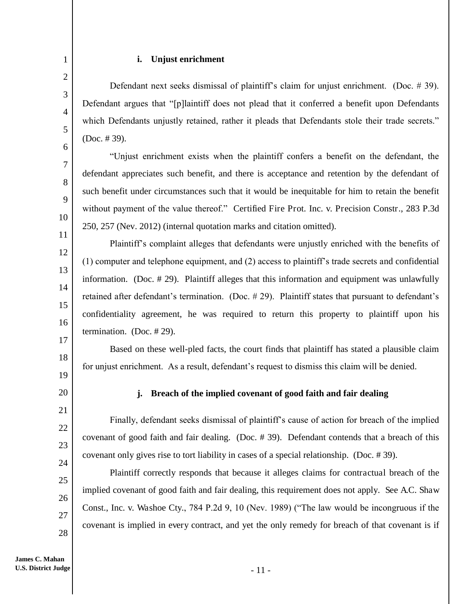23

24

25

26

27

28

## **i. Unjust enrichment**

Defendant next seeks dismissal of plaintiff's claim for unjust enrichment. (Doc. # 39). Defendant argues that "[p]laintiff does not plead that it conferred a benefit upon Defendants which Defendants unjustly retained, rather it pleads that Defendants stole their trade secrets." (Doc. # 39).

"Unjust enrichment exists when the plaintiff confers a benefit on the defendant, the defendant appreciates such benefit, and there is acceptance and retention by the defendant of such benefit under circumstances such that it would be inequitable for him to retain the benefit without payment of the value thereof." Certified Fire Prot. Inc. v. Precision Constr., 283 P.3d 250, 257 (Nev. 2012) (internal quotation marks and citation omitted).

Plaintiff's complaint alleges that defendants were unjustly enriched with the benefits of (1) computer and telephone equipment, and (2) access to plaintiff's trade secrets and confidential information. (Doc. # 29). Plaintiff alleges that this information and equipment was unlawfully retained after defendant's termination. (Doc. # 29). Plaintiff states that pursuant to defendant's confidentiality agreement, he was required to return this property to plaintiff upon his termination. (Doc. # 29).

 Based on these well-pled facts, the court finds that plaintiff has stated a plausible claim for unjust enrichment. As a result, defendant's request to dismiss this claim will be denied.

## **j. Breach of the implied covenant of good faith and fair dealing**

Finally, defendant seeks dismissal of plaintiff's cause of action for breach of the implied covenant of good faith and fair dealing. (Doc. # 39). Defendant contends that a breach of this covenant only gives rise to tort liability in cases of a special relationship. (Doc. # 39).

 Plaintiff correctly responds that because it alleges claims for contractual breach of the implied covenant of good faith and fair dealing, this requirement does not apply. See A.C. Shaw Const., Inc. v. Washoe Cty., 784 P.2d 9, 10 (Nev. 1989) ("The law would be incongruous if the covenant is implied in every contract, and yet the only remedy for breach of that covenant is if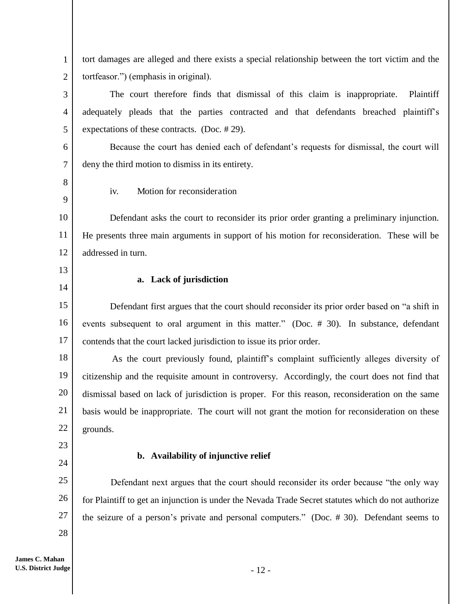1 2 tort damages are alleged and there exists a special relationship between the tort victim and the tortfeasor.") (emphasis in original).

 The court therefore finds that dismissal of this claim is inappropriate. Plaintiff adequately pleads that the parties contracted and that defendants breached plaintiff's expectations of these contracts. (Doc. # 29).

Because the court has denied each of defendant's requests for dismissal, the court will deny the third motion to dismiss in its entirety.

8 9

3

4

5

6

7

iv. Motion for reconsideration

10 11 12 Defendant asks the court to reconsider its prior order granting a preliminary injunction. He presents three main arguments in support of his motion for reconsideration. These will be addressed in turn.

13

14

23

24

28

## **a. Lack of jurisdiction**

15 16 17 Defendant first argues that the court should reconsider its prior order based on "a shift in events subsequent to oral argument in this matter." (Doc. # 30). In substance, defendant contends that the court lacked jurisdiction to issue its prior order.

18 19 20 21 22 As the court previously found, plaintiff's complaint sufficiently alleges diversity of citizenship and the requisite amount in controversy. Accordingly, the court does not find that dismissal based on lack of jurisdiction is proper. For this reason, reconsideration on the same basis would be inappropriate. The court will not grant the motion for reconsideration on these grounds.

# **b. Availability of injunctive relief**

25 26 27 Defendant next argues that the court should reconsider its order because "the only way for Plaintiff to get an injunction is under the Nevada Trade Secret statutes which do not authorize the seizure of a person's private and personal computers." (Doc. # 30). Defendant seems to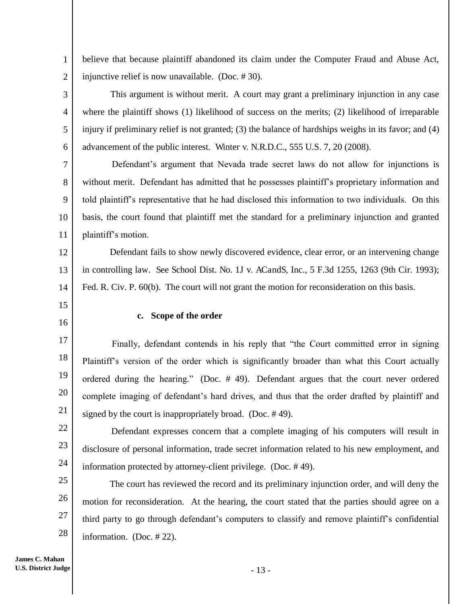believe that because plaintiff abandoned its claim under the Computer Fraud and Abuse Act, injunctive relief is now unavailable. (Doc. # 30).

 This argument is without merit. A court may grant a preliminary injunction in any case where the plaintiff shows (1) likelihood of success on the merits; (2) likelihood of irreparable injury if preliminary relief is not granted; (3) the balance of hardships weighs in its favor; and (4) advancement of the public interest. Winter v. N.R.D.C., 555 U.S. 7, 20 (2008).

7 8 9 10 11 Defendant's argument that Nevada trade secret laws do not allow for injunctions is without merit. Defendant has admitted that he possesses plaintiff's proprietary information and told plaintiff's representative that he had disclosed this information to two individuals. On this basis, the court found that plaintiff met the standard for a preliminary injunction and granted plaintiff's motion.

12 13 14 Defendant fails to show newly discovered evidence, clear error, or an intervening change in controlling law. See School Dist. No. 1J v. ACandS, Inc., 5 F.3d 1255, 1263 (9th Cir. 1993); Fed. R. Civ. P. 60(b). The court will not grant the motion for reconsideration on this basis.

15

16

1

2

3

4

5

6

## **c. Scope of the order**

17 18 19 20 21 Finally, defendant contends in his reply that "the Court committed error in signing Plaintiff's version of the order which is significantly broader than what this Court actually ordered during the hearing." (Doc. # 49). Defendant argues that the court never ordered complete imaging of defendant's hard drives, and thus that the order drafted by plaintiff and signed by the court is inappropriately broad. (Doc. # 49).

22 23

24

 Defendant expresses concern that a complete imaging of his computers will result in disclosure of personal information, trade secret information related to his new employment, and information protected by attorney-client privilege. (Doc. # 49).

25 26 27 28 The court has reviewed the record and its preliminary injunction order, and will deny the motion for reconsideration. At the hearing, the court stated that the parties should agree on a third party to go through defendant's computers to classify and remove plaintiff's confidential information. (Doc. # 22).

**James C. Mahan U.S. District Judge**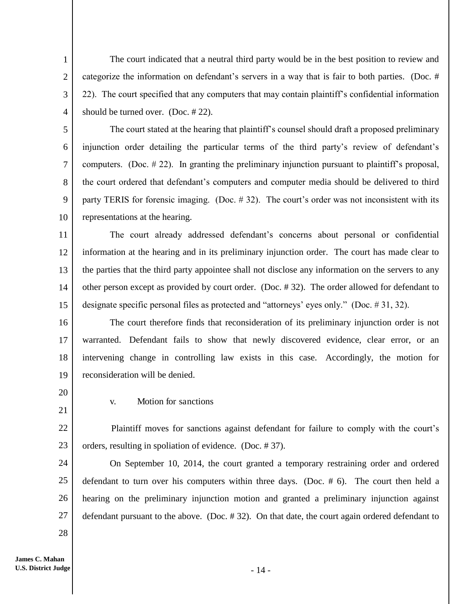The court indicated that a neutral third party would be in the best position to review and categorize the information on defendant's servers in a way that is fair to both parties. (Doc. # 22). The court specified that any computers that may contain plaintiff's confidential information should be turned over. (Doc. # 22).

5 6 7 8 9 10 The court stated at the hearing that plaintiff's counsel should draft a proposed preliminary injunction order detailing the particular terms of the third party's review of defendant's computers. (Doc. # 22). In granting the preliminary injunction pursuant to plaintiff's proposal, the court ordered that defendant's computers and computer media should be delivered to third party TERIS for forensic imaging. (Doc. # 32). The court's order was not inconsistent with its representations at the hearing.

11 12 13 14 15 The court already addressed defendant's concerns about personal or confidential information at the hearing and in its preliminary injunction order. The court has made clear to the parties that the third party appointee shall not disclose any information on the servers to any other person except as provided by court order. (Doc. # 32). The order allowed for defendant to designate specific personal files as protected and "attorneys' eyes only." (Doc. # 31, 32).

16 17 18 19 The court therefore finds that reconsideration of its preliminary injunction order is not warranted. Defendant fails to show that newly discovered evidence, clear error, or an intervening change in controlling law exists in this case. Accordingly, the motion for reconsideration will be denied.

20

21

1

2

3

4

v. Motion for sanctions

22 23 Plaintiff moves for sanctions against defendant for failure to comply with the court's orders, resulting in spoliation of evidence. (Doc. # 37).

24 25 26 27 On September 10, 2014, the court granted a temporary restraining order and ordered defendant to turn over his computers within three days. (Doc. # 6). The court then held a hearing on the preliminary injunction motion and granted a preliminary injunction against defendant pursuant to the above. (Doc. # 32). On that date, the court again ordered defendant to

28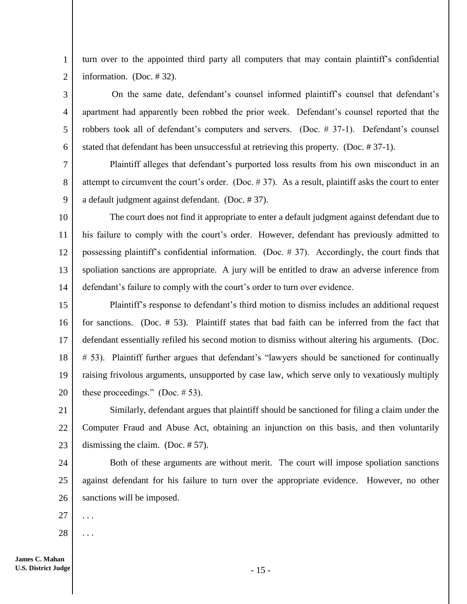1 2 turn over to the appointed third party all computers that may contain plaintiff's confidential information. (Doc. # 32).

 On the same date, defendant's counsel informed plaintiff's counsel that defendant's apartment had apparently been robbed the prior week. Defendant's counsel reported that the robbers took all of defendant's computers and servers. (Doc. # 37-1). Defendant's counsel stated that defendant has been unsuccessful at retrieving this property. (Doc. # 37-1).

7 8 9 Plaintiff alleges that defendant's purported loss results from his own misconduct in an attempt to circumvent the court's order. (Doc. # 37). As a result, plaintiff asks the court to enter a default judgment against defendant. (Doc. # 37).

10 11 12 13 14 The court does not find it appropriate to enter a default judgment against defendant due to his failure to comply with the court's order. However, defendant has previously admitted to possessing plaintiff's confidential information. (Doc. # 37). Accordingly, the court finds that spoliation sanctions are appropriate. A jury will be entitled to draw an adverse inference from defendant's failure to comply with the court's order to turn over evidence.

15 16 17 18 19 20 Plaintiff's response to defendant's third motion to dismiss includes an additional request for sanctions. (Doc. # 53). Plaintiff states that bad faith can be inferred from the fact that defendant essentially refiled his second motion to dismiss without altering his arguments. (Doc. # 53). Plaintiff further argues that defendant's "lawyers should be sanctioned for continually raising frivolous arguments, unsupported by case law, which serve only to vexatiously multiply these proceedings." (Doc.  $\# 53$ ).

21 22 23 Similarly, defendant argues that plaintiff should be sanctioned for filing a claim under the Computer Fraud and Abuse Act, obtaining an injunction on this basis, and then voluntarily dismissing the claim. (Doc. # 57).

24 25 26 Both of these arguments are without merit. The court will impose spoliation sanctions against defendant for his failure to turn over the appropriate evidence. However, no other sanctions will be imposed.

27 . . .

3

4

5

6

28 . . .